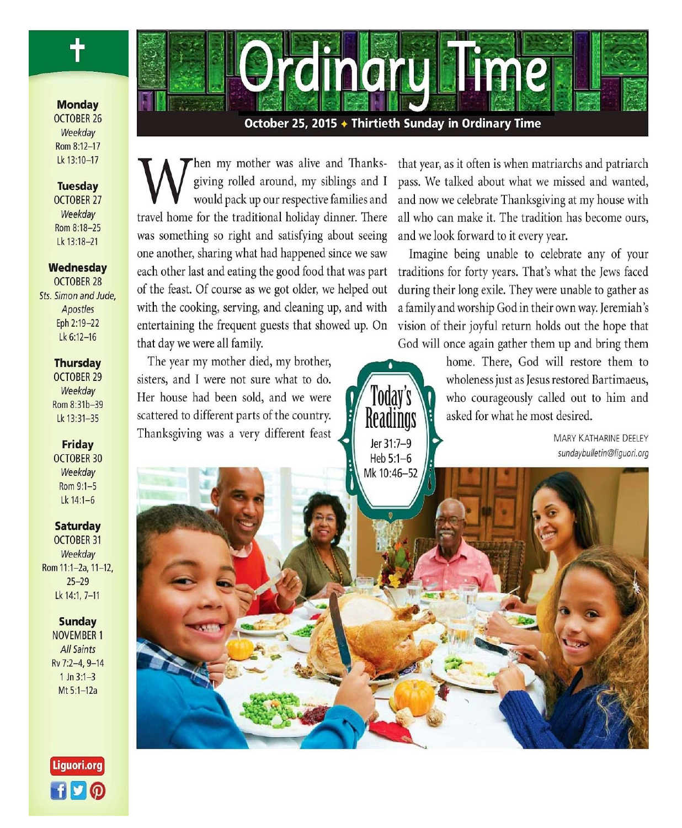### **Monday OCTOBER 26** Weekdav Rom 8:12-17 Lk 13:10-17

### **Tuesday**

**OCTOBER 27** Weekday Rom 8:18-25 Lk 13:18-21

### Wednesday **OCTOBER 28** Sts. Simon and Jude,

Apostles Eph 2:19-22 Lk 6:12-16

### **Thursday**

**OCTOBER 29** Weekday Rom 8:31b-39 Lk 13:31-35

#### **Friday OCTOBER 30** Weekdav

Rom 9:1-5 Lk  $14:1-6$ 

### **Saturday OCTOBER 31** Weekday

Rom 11:1-2a, 11-12,  $25 - 29$ Lk 14:1, 7-11

### **Sunday NOVEMBER 1 All Saints** Rv 7:2-4, 9-14  $1 \ln 3:1 - 3$ Mt 5:1-12a



October 25, 2015 + Thirtieth Sunday in Ordinary Time

hen my mother was alive and Thanksgiving rolled around, my siblings and I would pack up our respective families and travel home for the traditional holiday dinner. There was something so right and satisfying about seeing one another, sharing what had happened since we saw each other last and eating the good food that was part of the feast. Of course as we got older, we helped out with the cooking, serving, and cleaning up, and with entertaining the frequent guests that showed up. On that day we were all family.

The year my mother died, my brother, sisters, and I were not sure what to do. Her house had been sold, and we were scattered to different parts of the country. Thanksgiving was a very different feast that year, as it often is when matriarchs and patriarch pass. We talked about what we missed and wanted, and now we celebrate Thanksgiving at my house with all who can make it. The tradition has become ours, and we look forward to it every year.

Imagine being unable to celebrate any of your traditions for forty years. That's what the Jews faced during their long exile. They were unable to gather as a family and worship God in their own way. Jeremiah's vision of their joyful return holds out the hope that God will once again gather them up and bring them

home. There, God will restore them to wholeness just as Jesus restored Bartimaeus, who courageously called out to him and asked for what he most desired.

> **MARY KATHARINE DEELEY** sundaybulletin@liguori.org

Todav's Keadings Jer 31:7-9 Heb 5:1-6



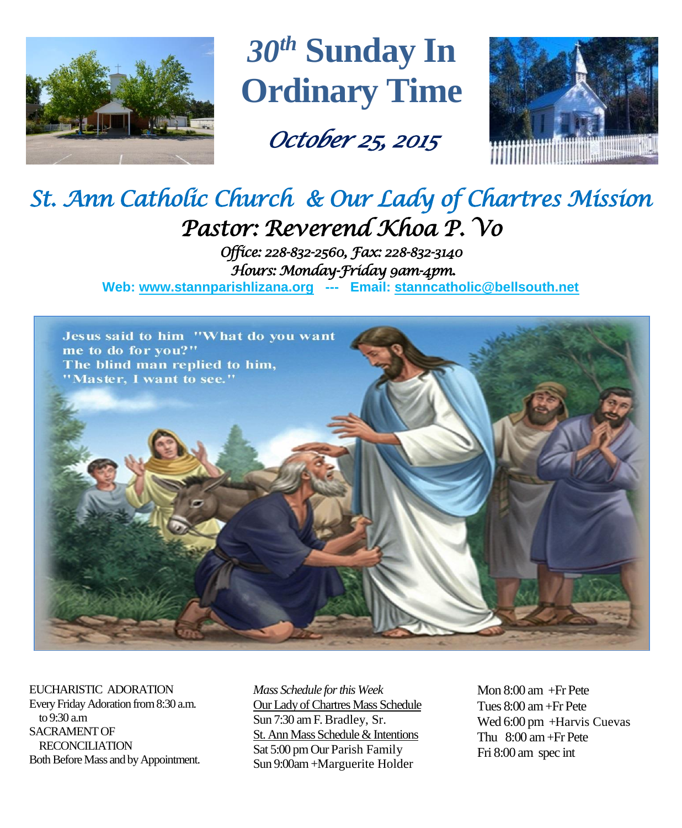

*30th* **Sunday In Ordinary Time**

*October 25, 2015* 



# *St. Ann Catholic Church & Our Lady of Chartres Mission Pastor: Reverend Khoa P. Vo*

*Office: 228-832-2560, Fax: 228-832-3140 Hours: Monday-Friday 9am-4pm.*  **Web: www.stannparishlizana.org --- Email: [stanncatholic@bellsouth.net](mailto:stanncatholic@bellsouth.net)**



EUCHARISTIC ADORATION Every Friday Adoration from 8:30 a.m. to 9:30 a.m SACRAMENT OF RECONCILIATION Both Before Mass and by Appointment. *Mass Schedule for this Week*  Our Lady of Chartres Mass Schedule Sun 7:30 am F. Bradley, Sr. St. Ann Mass Schedule & Intentions Sat 5:00 pm Our Parish Family Sun 9:00am +Marguerite Holder

Mon 8:00 am +Fr Pete Tues 8:00 am +Fr Pete Wed 6:00 pm +Harvis Cuevas Thu 8:00 am+Fr Pete Fri 8:00 am spec int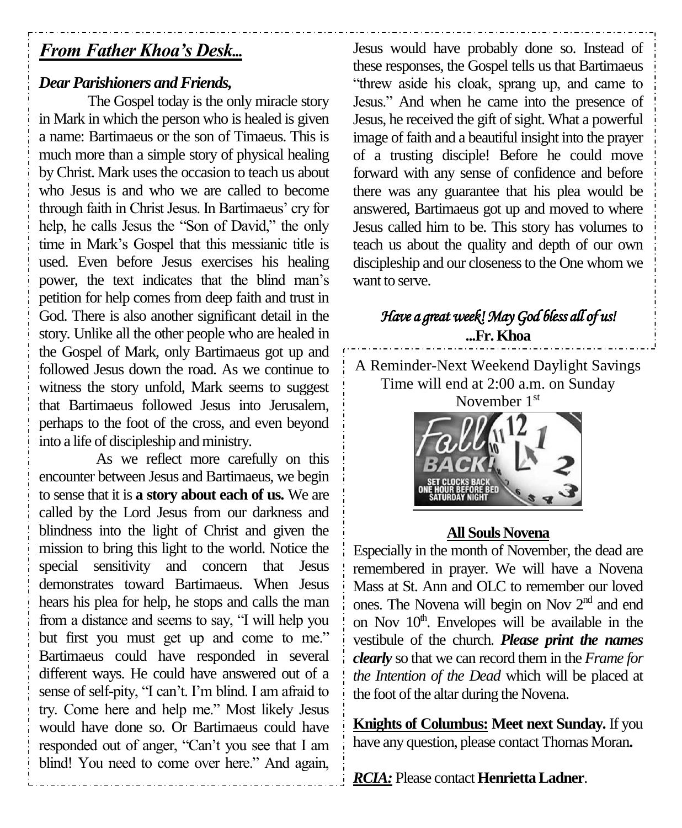# *From Father Khoa's Desk...*

# *Dear Parishioners and Friends,*

The Gospel today is the only miracle story in Mark in which the person who is healed is given a name: Bartimaeus or the son of Timaeus. This is much more than a simple story of physical healing by Christ. Mark uses the occasion to teach us about who Jesus is and who we are called to become through faith in Christ Jesus. In Bartimaeus' cry for help, he calls Jesus the "Son of David," the only time in Mark's Gospel that this messianic title is used. Even before Jesus exercises his healing power, the text indicates that the blind man's petition for help comes from deep faith and trust in God. There is also another significant detail in the story. Unlike all the other people who are healed in the Gospel of Mark, only Bartimaeus got up and followed Jesus down the road. As we continue to witness the story unfold, Mark seems to suggest that Bartimaeus followed Jesus into Jerusalem, perhaps to the foot of the cross, and even beyond into a life of discipleship and ministry.

As we reflect more carefully on this encounter between Jesus and Bartimaeus, we begin to sense that it is **a story about each of us.** We are called by the Lord Jesus from our darkness and blindness into the light of Christ and given the mission to bring this light to the world. Notice the special sensitivity and concern that Jesus demonstrates toward Bartimaeus. When Jesus hears his plea for help, he stops and calls the man from a distance and seems to say, "I will help you but first you must get up and come to me." Bartimaeus could have responded in several different ways. He could have answered out of a sense of self-pity, "I can't. I'm blind. I am afraid to try. Come here and help me." Most likely Jesus would have done so. Or Bartimaeus could have responded out of anger, "Can't you see that I am blind! You need to come over here." And again,

Jesus would have probably done so. Instead of these responses, the Gospel tells us that Bartimaeus "threw aside his cloak, sprang up, and came to Jesus." And when he came into the presence of Jesus, he received the gift of sight. What a powerful image of faith and a beautiful insight into the prayer of a trusting disciple! Before he could move forward with any sense of confidence and before there was any guarantee that his plea would be answered, Bartimaeus got up and moved to where Jesus called him to be. This story has volumes to teach us about the quality and depth of our own discipleship and our closeness to the One whom we want to serve.

# *Have a great week! May God bless all of us!*  **...Fr. Khoa**

A Reminder-Next Weekend Daylight Savings Time will end at 2:00 a.m. on Sunday November 1<sup>st</sup>

# **All Souls Novena**

Especially in the month of November, the dead are remembered in prayer. We will have a Novena Mass at St. Ann and OLC to remember our loved ones. The Novena will begin on Nov 2nd and end on Nov  $10<sup>th</sup>$ . Envelopes will be available in the vestibule of the church. *Please print the names clearly* so that we can record them in the *Frame for the Intention of the Dead* which will be placed at the foot of the altar during the Novena.

**Knights of Columbus: Meet next Sunday.** If you have any question, please contact Thomas Moran**.**

*RCIA:* Please contact **Henrietta Ladner**.